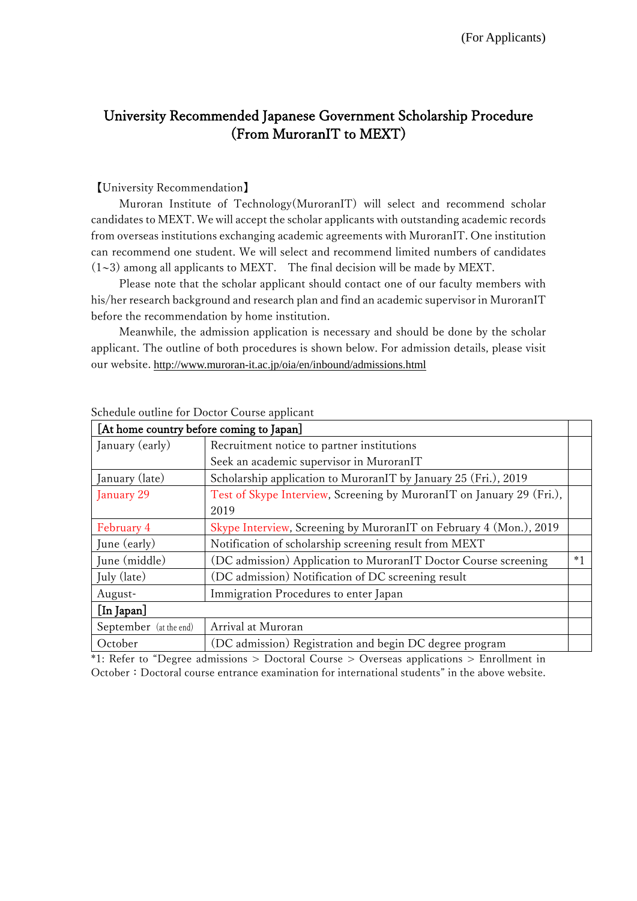## University Recommended Japanese Government Scholarship Procedure (From MuroranIT to MEXT)

## 【University Recommendation】

Muroran Institute of Technology(MuroranIT) will select and recommend scholar candidates to MEXT. We will accept the scholar applicants with outstanding academic records from overseas institutions exchanging academic agreements with MuroranIT. One institution can recommend one student. We will select and recommend limited numbers of candidates  $(1-3)$  among all applicants to MEXT. The final decision will be made by MEXT.

Please note that the scholar applicant should contact one of our faculty members with his/her research background and research plan and find an academic supervisor in MuroranIT before the recommendation by home institution.

Meanwhile, the admission application is necessary and should be done by the scholar applicant. The outline of both procedures is shown below. For admission details, please visit our website. <http://www.muroran-it.ac.jp/oia/en/inbound/admissions.html>

| [At home country before coming to Japan] |                                                                       |      |
|------------------------------------------|-----------------------------------------------------------------------|------|
| January (early)                          | Recruitment notice to partner institutions                            |      |
|                                          | Seek an academic supervisor in MuroranIT                              |      |
| January (late)                           | Scholarship application to MuroranIT by January 25 (Fri.), 2019       |      |
| January 29                               | Test of Skype Interview, Screening by MuroranIT on January 29 (Fri.), |      |
|                                          | 2019                                                                  |      |
| February 4                               | Skype Interview, Screening by MuroranIT on February 4 (Mon.), 2019    |      |
| June (early)                             | Notification of scholarship screening result from MEXT                |      |
| June (middle)                            | (DC admission) Application to MuroranIT Doctor Course screening       | $*1$ |
| July (late)                              | (DC admission) Notification of DC screening result                    |      |
| August-                                  | Immigration Procedures to enter Japan                                 |      |
| [In Japan]                               |                                                                       |      |
| September (at the end)                   | Arrival at Muroran                                                    |      |
| October                                  | (DC admission) Registration and begin DC degree program               |      |

Schedule outline for Doctor Course applicant

\*1: Refer to "Degree admissions > Doctoral Course > Overseas applications > Enrollment in October:Doctoral course entrance examination for international students" in the above website.